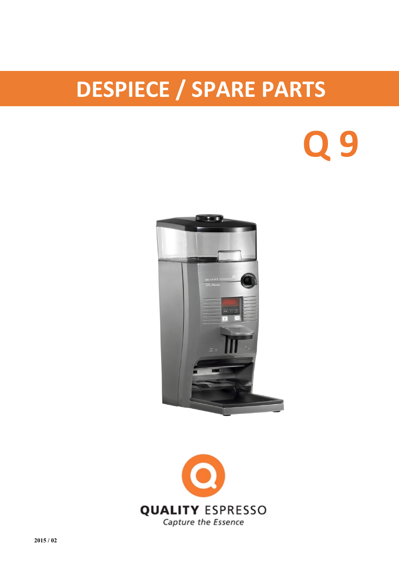## **DESPIECE / SPARE PARTS**

## **Q 9**



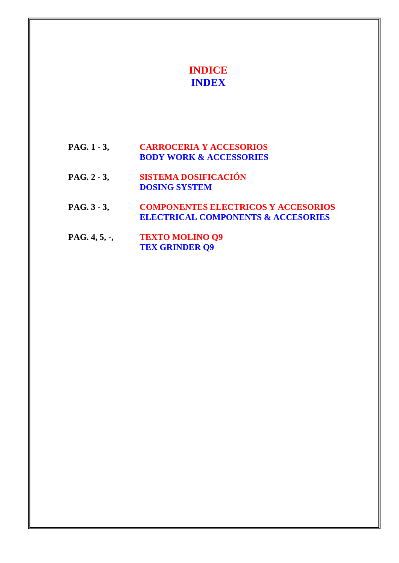## **INDICE INDEX**

- **PAG. 1 3, CARROCERIA Y ACCESORIOS BODY WORK & ACCESSORIES**
- **PAG. 2 3, SISTEMA DOSIFICACIÓN DOSING SYSTEM**
- **PAG. 3 3, COMPONENTES ELECTRICOS Y ACCESORIOS ELECTRICAL COMPONENTS & ACCESORIES**
- **PAG. 4, 5, -, TEXTO MOLINO Q9 TEX GRINDER Q9**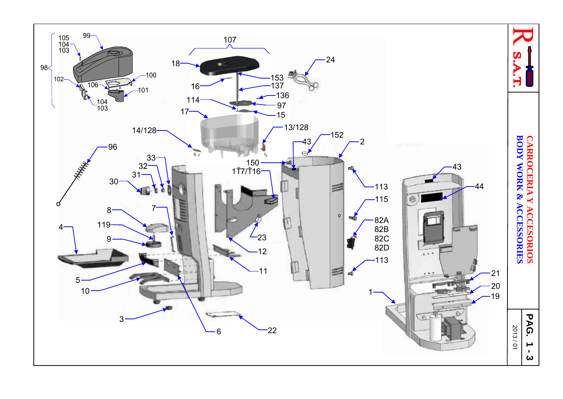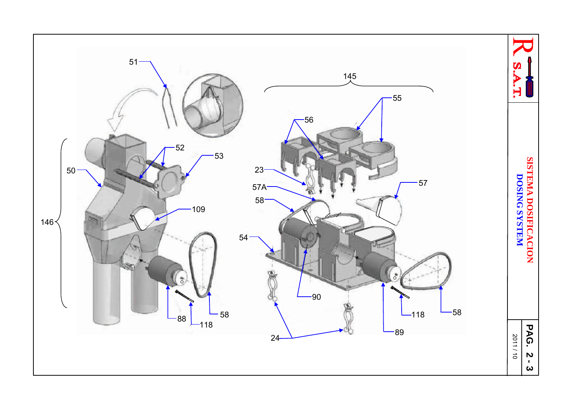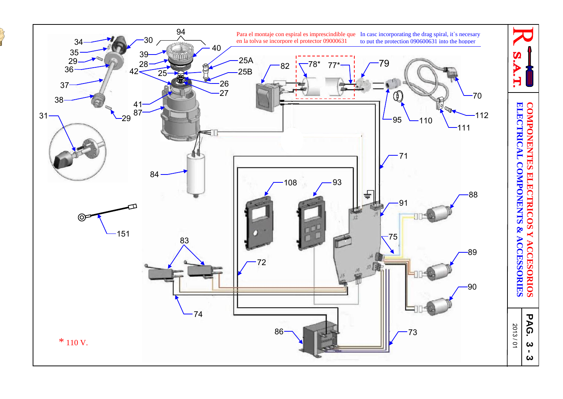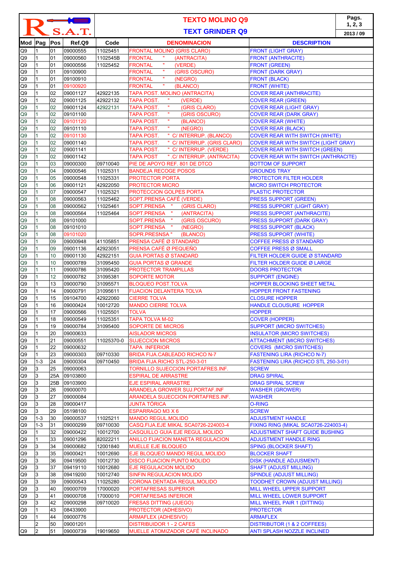| $\leftarrow$<br>S.A.T. |                              |          |                      | <b>TEXTO MOLINO Q9</b><br><b>TEXT GRINDER Q9</b> |                                                                         |                                                                                   | Pags.<br>1, 2, 3<br>2013/09 |
|------------------------|------------------------------|----------|----------------------|--------------------------------------------------|-------------------------------------------------------------------------|-----------------------------------------------------------------------------------|-----------------------------|
|                        | Mod Pag                      | Pos      | Ref.Q9               | Code                                             | <b>DENOMINACION</b>                                                     | <b>DESCRIPTION</b>                                                                |                             |
| Q9                     | 1                            | 01       | 09000555             | 11025451                                         | <b>FRONTAL MOLINO (GRIS CLARO)</b>                                      | <b>FRONT (LIGHT GRAY)</b>                                                         |                             |
| Q9                     | 1                            | 01       | 09000560             | 1102545B                                         | <b>FRONTAL</b><br>(ANTRACITA)                                           | <b>FRONT (ANTHRACITE)</b>                                                         |                             |
| Q9                     | $\mathbf{1}$                 | 01       | 09000556             | 11025452                                         | $\mathbf{u}$<br><b>FRONTAL</b><br>(VERDE)                               | <b>FRONT (GREEN)</b>                                                              |                             |
| Q9                     | $\mathbf{1}$                 | 01       | 09100900             |                                                  | $\mathbf{u}$<br>(GRIS OSCURO)<br><b>FRONTAL</b><br>$\mathbf{u}$         | <b>FRONT (DARK GRAY)</b>                                                          |                             |
| Q9                     | $\mathbf{1}$<br>$\mathbf{1}$ | 01<br>01 | 09100910<br>09100920 |                                                  | <b>FRONTAL</b><br>(NEGRO)<br>$\mathbf{u}$<br>(BLANCO)<br><b>FRONTAL</b> | <b>FRONT (BLACK)</b>                                                              |                             |
| Q9<br>Q9               | $\mathbf{1}$                 | 02       | 09001127             | 42922135                                         | TAPA POST. MOLINO (ANTRACITA)                                           | <b>FRONT (WHITE)</b><br><b>COVER REAR (ANTHRACITE)</b>                            |                             |
| Q9                     | $\mathbf{1}$                 | 02       | 09001125             | 42922132                                         | $\boldsymbol{\eta}$<br><b>TAPA POST.</b><br>(VERDE)                     | <b>COVER REAR (GREEN)</b>                                                         |                             |
| Q9                     | $\mathbf{1}$                 | 02       | 09001124             | 42922131                                         | $\mathbf{u}$<br><b>TAPA POST.</b><br>(GRIS CLARO)                       | <b>COVER REAR (LIGHT GRAY)</b>                                                    |                             |
| Q9                     | $\mathbf{1}$                 | 02       | 09101100             |                                                  | $\mathbf{u}$<br>TAPA POST.<br>(GRIS OSCURO)                             | <b>COVER REAR (DARK GRAY)</b>                                                     |                             |
| Q9                     | $\mathbf{1}$                 | 02       | 09101120             |                                                  | $\mathbf{u}$<br>TAPA POST.<br>(BLANCO)<br>$\mathbf{u}$                  | <b>COVER REAR (WHITE)</b>                                                         |                             |
| Q9                     | $\mathbf{1}$<br>$\mathbf{1}$ | 02<br>02 | 09101110<br>09101130 |                                                  | TAPA POST.<br>(NEGRO)<br>" C/ INTERRUP. (BLANCO)                        | <b>COVER REAR (BLACK)</b><br><b>COVER REAR WITH SWITCH (WHITE)</b>                |                             |
| Q9<br>Q9               | $\mathbf{1}$                 | 02       | 09001140             |                                                  | TAPA POST.<br>" C/ INTERRUP. (GRIS CLARO)<br>TAPA POST.                 | <b>COVER REAR WITH SWITCH (LIGHT GRAY)</b>                                        |                             |
| Q <sub>9</sub>         | $\mathbf{1}$                 | 02       | 09001141             |                                                  | " C/ INTERRUP. (VERDE)<br>TAPA POST.                                    | <b>COVER REAR WITH SWITCH (GREEN)</b>                                             |                             |
| Q9                     | $\mathbf{1}$                 | 02       | 09001142             |                                                  | ".C/INTERRUP. (ANTRACITA)<br><b>TAPA POST</b>                           | <b>COVER REAR WITH SWITCH (ANTHRACITE)</b>                                        |                             |
| Q9                     | 1                            | 03       | 09000300             | 09710040                                         | PIE DE APOYO REF. 801 DE DTCO                                           | <b>BOTTOM OF SUPPORT</b>                                                          |                             |
| Q9                     | $\mathbf{1}$                 | 04       | 09000546             | 11025311                                         | <b>BANDEJA RECOGE POSOS</b>                                             | <b>GROUNDS TRAY</b>                                                               |                             |
| Q <sub>9</sub>         | $\mathbf{1}$                 | 05       | 09000548             | 11025331                                         | PROTECTOR PORTA                                                         | PROTECTOR FILTER HOLDER                                                           |                             |
| Q <sub>9</sub>         | $\mathbf{1}$<br>1            | 06<br>07 | 09001121             | 42922050<br>11025321                             | <b>PROTECTOR MICRO</b>                                                  | <b>MICRO SWITCH PROTECTOR</b><br><b>PLASTIC PROTECTOR</b>                         |                             |
| Q <sub>9</sub><br>Q9   | $\mathbf{1}$                 | 08       | 09000547<br>09000563 | 11025462                                         | PROTECCION GOLPES PORTA<br>SOPT.PRENSA CAFÉ (VERDE)                     | <b>PRESS SUPPORT (GREEN)</b>                                                      |                             |
| Q9                     | $\mathbf{1}$                 | 08       | 09000562             | 11025461                                         | SOPT.PRENSA "<br>(GRIS CLARO)                                           | PRESS SUPPORT (LIGHT GRAY)                                                        |                             |
| Q9                     | $\mathbf{1}$                 | 08       | 09000564             | 11025464                                         | $\langle 0 \rangle$<br>SOPT.PRENSA<br>(ANTRACITA)                       | <b>PRESS SUPPORT (ANTHRACITE)</b>                                                 |                             |
| Q <sub>9</sub>         | 1                            | 08       | 09101000             |                                                  | $\sim 0.1$<br>SOPT.PRENSA<br>(GRIS OSCURO)                              | <b>PRESS SUPPORT (DARK GRAY)</b>                                                  |                             |
| Q9                     | $\mathbf{1}$                 | 08       | 09101010             |                                                  | $\sim 0$<br>SOPT.PRENSA<br>(NEGRO)                                      | <b>PRESS SUPPORT (BLACK)</b>                                                      |                             |
| Q9                     | $\mathbf{1}$                 | 08       | 09101020             |                                                  | SOPR.PRESNSA "<br>(BLANCO)                                              | <b>PRESS SUPPORT (WHITE)</b>                                                      |                             |
| Q9                     | $\mathbf{1}$                 | 09       | 09000948             | 41105851                                         | PRENSA CAFÉ Ø STANDARD                                                  | <b>COFFEE PRESS Ø STANDARD</b>                                                    |                             |
| Q <sub>9</sub><br>Q9   | $\mathbf{1}$<br>$\mathbf{1}$ | 09<br>10 | 09001136<br>09001130 | 42923051<br>42922151                             | PRENSA CAFÉ Ø PEQUEÑO<br><b>GUIA PORTAS Ø STANDARD</b>                  | <b>COFFEE PRESS Ø SMALL</b><br>FILTER HOLDER GUIDE Ø STANDARD                     |                             |
| Q9                     | $\mathbf{1}$                 | 10       | 09000789             | 31095450                                         | <b>GUIA PORTAS Ø GRANDE</b>                                             | FILTER HOLDER GUIDE Ø LARGE                                                       |                             |
| Q9                     | $\mathbf{1}$                 | 11       | 09000786             | 31095420                                         | <b>PROTECTOR TRAMPILLAS</b>                                             | <b>DOORS PROTECTOR</b>                                                            |                             |
| Q9                     | $\mathbf{1}$                 | 12       | 09000782             | 31095381                                         | <b>SOPORTE MOTOR</b>                                                    | <b>SUPPORT (ENGINE)</b>                                                           |                             |
| Q9                     | $\mathbf{1}$                 | 13       | 09000790             | 31095571                                         | <b>BLOQUEO POST.TOLVA</b>                                               | <b>HOPPER BLOCKING SHEET METAL</b>                                                |                             |
| Q9                     | $\mathbf{1}$                 | 14       | 09000791             | 31095611                                         | <b>FIJACION DELANTERA TOLVA</b>                                         | <b>HOPPER FRONT FASTENING</b>                                                     |                             |
| Q9                     | 1<br>$\mathbf{1}$            | 15<br>16 | 09104700<br>09000424 | 42922060                                         | <b>CIERRE TOLVA</b>                                                     | <b>CLOSURE HOPPER</b>                                                             |                             |
| Q9<br>Q9               | 1                            | 17       | 09000566             | 10012720<br>11025501                             | <b>MANDO CIERRE TOLVA</b><br>TOLVA                                      | <b>HANDLE CLOUSURE HOPPER</b><br><b>HOPPER</b>                                    |                             |
| Q9                     | $\mathbf{1}$                 | 18       | 09000549             | 11025351                                         | TAPA TOLVA M-02                                                         | <b>COVER (HOPPER)</b>                                                             |                             |
| Q9                     | 1                            | 19       | 09000784             | 31095400                                         | <b>SOPORTE DE MICROS</b>                                                | <b>SUPPORT (MICRO SWITCHES)</b>                                                   |                             |
| Q9                     | $\mathbf{1}$                 | 20       | 09000633             |                                                  | <b>AISLADOR MICROS</b>                                                  | <b>INSULATOR (MICRO SWITCHES)</b>                                                 |                             |
| Q9                     | 1                            | 21       | 09000551             | 11025370-0                                       | <b>SUJECCION MICROS</b>                                                 | <b>ATTACHMENT (MICRO SWITCHES)</b>                                                |                             |
| Q9                     | $\mathbf{1}$                 | 22       | 09000632             |                                                  | <b>TAPA INFERIOR</b>                                                    | <b>COVERS (MICRO SWITCHES)</b>                                                    |                             |
| Q9<br>Q9               | $\mathbf{1}$<br>$1 - 3$      | 23<br>24 | 09000303<br>09000304 | 09710330<br>09710450                             | <b>BRIDA FIJA.CABLEADO RICHCO N-7</b><br>BRIDA FIJA.RICHO STL-250-3-01  | <b>FASTENING LIRA (RICHCO N-7)</b><br><b>FASTENING LIRA (RICHCO STL 250-3-01)</b> |                             |
| Q9                     | 3                            | 25       | 09000063             |                                                  | TORNILLO SUJECCION PORTAFRES.INF.                                       | <b>SCREW</b>                                                                      |                             |
| Q9                     | 3                            | 25A      | 09103800             |                                                  | <b>ESPIRAL DE ARRASTRE</b>                                              | <b>DRAG SPIRAL</b>                                                                |                             |
| Q9                     | 3                            | 25B      | 09103900             |                                                  | <b>EJE ESPIRAL ARRASTRE</b>                                             | <b>DRAG SPIRAL SCREW</b>                                                          |                             |
| Q9                     | 3                            | 26       | 09000070             |                                                  | ARANDELA GROWER SUJ.PORTAF.INF                                          | <b>WASHER (GROWER)</b>                                                            |                             |
| Q9                     | 3                            | 27       | 09000084             |                                                  | ARANDELA SUJECCION PORTAFRES.INF.                                       | <b>WASHER</b>                                                                     |                             |
| Q9<br>Q9               | 3<br>3                       | 28<br>29 | 09000417<br>05198100 |                                                  | <b>JUNTA TÓRICA</b><br>ESPARRAGO M3 X 6                                 | <b>O-RING</b><br><b>SCREW</b>                                                     |                             |
| Q9                     | $1 - 3$                      | 30       | 09000537             | 11025211                                         | <b>MANDO REGUL.MOLIDO</b>                                               | <b>ADJUSTMENT HANDLE</b>                                                          |                             |
| Q9                     | $1 - 3$                      | 31       | 09000299             | 09710030                                         | CASQ.FIJA.EJE MIKAL SCA0726-224003-4                                    | FIXING RING (MIKAL SCA0726-224003-4)                                              |                             |
| Q9                     | 1                            | 32       | 09000422             | 10012700                                         | CASQUILLO GUIA EJE REGUL.MOLIDO                                         | <b>ADJUSTMENT SHAFT GUIDE BUSHING</b>                                             |                             |
| Q9                     | $\mathbf{1}$                 | 33       | 09001296             | 82022211                                         | <b>ANILLO FIJACION MANETA REGULACION</b>                                | <b>ADJUSTMENT HANDLE RING</b>                                                     |                             |
| Q9                     | 3                            | 34       | 09000682             | 12001840                                         | <b>MUELLE EJE BLOQUEO</b>                                               | <b>SPING (BLOCKER SHAFT)</b>                                                      |                             |
| Q9                     | 3                            | 35       | 09000421             | 10012690                                         | EJE BLOQUEO MANDO REGUL.MOLIDO                                          | <b>BLOCKER SHAFT</b>                                                              |                             |
| Q9<br>Q9               | 3<br>3                       | 36<br>37 | 09419500<br>09419110 | 10012730<br>10012680                             | <b>DISCO FIJACION PUNTO MOLIDO</b><br>EJE REGULACION MOLIDO             | <b>DISK (HANDLE ADJUSMENT)</b><br><b>SHAFT (ADJUST MILLING)</b>                   |                             |
| Q9                     | 3                            | 38       | 09419200             | 10012740                                         | <b>SINFIN REGULACION MOLIDO</b>                                         | <b>SPINDLE (ADJUST MILLING)</b>                                                   |                             |
| Q9                     | 3                            | 39       | 09000543             | 11025280                                         | CORONA DENTADA REGUL.MOLIDO                                             | <b>TOODHET CROWN (ADJUST MILLING)</b>                                             |                             |
| Q9                     | 3                            | 40       | 09000709             | 17000020                                         | PORTAFRESAS SUPERIOR                                                    | MILL WHEEL UPPER SUPPORT                                                          |                             |
| Q9                     | 3                            | 41       | 09000708             | 17000010                                         | PORTAFRESAS INFERIOR                                                    | <b>MILL WHEEL LOWER SUPPORT</b>                                                   |                             |
| Q9                     | 3                            | 42       | 09000298             | 09710020                                         | <b>FRESAS DITTING (JUEGO)</b>                                           | MILL WHEEL PAIR 1 (DITTING)                                                       |                             |
| Q9<br>Q9               | $\mathbf{1}$<br>$\mathbf{1}$ | 43<br>44 | 08433900<br>09000776 |                                                  | PROTECTOR (ADHESIVO)<br><b>ARMAFLEX (ADHESIVO)</b>                      | <b>PROTECTOR</b><br><b>ARMAFLEX</b>                                               |                             |
|                        | $\overline{2}$               | 50       | 09001201             |                                                  | <b>DISTRIBUIDOR 1 - 2 CAFES</b>                                         | <b>DISTRIBUTOR (1 &amp; 2 COFFEES)</b>                                            |                             |
| Q <sub>9</sub>         | $\overline{2}$               | 51       | 09000739             | 19019650                                         | MUELLE ATOMIZADOR CAFÉ INCLINADO                                        | <b>ANTI SPLASH NOZZLE INCLINED</b>                                                |                             |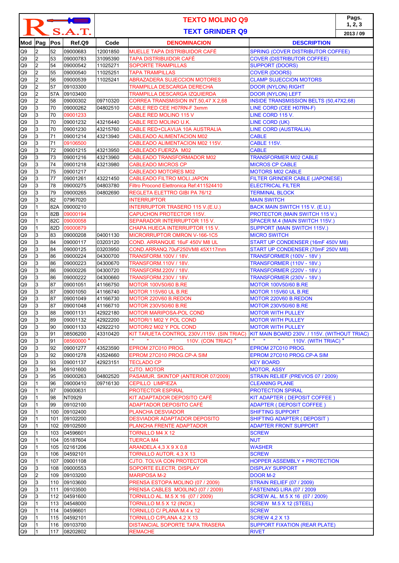| S.A.T.               |                     |          |                          | <b>TEXTO MOLINO Q9</b><br><b>TEXT GRINDER Q9</b> |                                                                   |                                                                          | Pags.<br>1, 2, 3<br>2013/09 |
|----------------------|---------------------|----------|--------------------------|--------------------------------------------------|-------------------------------------------------------------------|--------------------------------------------------------------------------|-----------------------------|
| Mod Pag              |                     | Pos      | Ref.Q9                   | Code                                             | <b>DENOMINACION</b>                                               | <b>DESCRIPTION</b>                                                       |                             |
| Q <sub>9</sub>       | 2                   | 52       | 09000683                 | 12001850                                         | MUELLE TAPA DISTRIBUIDOR CAFÉ                                     | <b>SPRING (COVER DISTRIBUTOR COFFEE)</b>                                 |                             |
| Q9                   | $\overline{2}$      | 53       | 09000783                 | 31095390                                         | TAPA DISTRIBUIDOR CAFÉ                                            | <b>COVER (DISTRIBUTOR COFFEE)</b>                                        |                             |
| Q <sub>9</sub>       | $\overline{c}$      | 54       | 09000542                 | 11025271                                         | <b>SOPORTE TRAMPILLAS</b>                                         | <b>SUPPORT (DOORS)</b>                                                   |                             |
| Q <sub>9</sub>       | $\overline{c}$      | 55       | 09000540                 | 11025251                                         | <b>TAPA TRAMPILLAS</b>                                            | <b>COVER (DOORS)</b>                                                     |                             |
| Q <sub>9</sub>       | 2                   | 56       | 09000539                 | 11025241                                         | <b>ABRAZADERA SUJECCION MOTORES</b>                               | <b>CLAMP SUJECCION MOTORS</b>                                            |                             |
| Q9                   | $\overline{2}$      | 57       | 09103300                 |                                                  | TRAMPILLA DESCARGA DERECHA                                        | <b>DOOR (NYLON) RIGHT</b>                                                |                             |
| Q9                   | $\overline{c}$      | 57A      | 09103400                 |                                                  | TRAMPILLA DESCARGA IZQUIERDA                                      | <b>DOOR (NYLON) LEFT</b>                                                 |                             |
| Q9<br>Q <sub>9</sub> | $\overline{c}$<br>3 | 58<br>70 | 09000302<br>09000262     | 09710320<br>04802510                             | CORREA TRANSMISION INT.50,47 X 2,68<br>CABLE RED CEE H07RN-F 3xmm | <b>INSIDE TRANSMISSION BELTS (50,47X2,68)</b><br>LINE CORD (CEE H07RN-F) |                             |
| Q9                   | 3                   | 70       | 09001233                 |                                                  | CABLE RED MOLINO 115 V                                            | LINE CORD 115 V.                                                         |                             |
| Q9                   | 3                   | 70       | 09001232                 | 43216440                                         | CABLE RED MOLINO U.K.                                             | LINE CORD (UK)                                                           |                             |
| Q9                   | 3                   | 70       | 09001230                 | 43215760                                         | CABLE RED+CLAVIJA 10A AUSTRALIA                                   | LINE CORD (AUSTRALIA)                                                    |                             |
| Q9                   | 3                   | 71       | 09001214                 | 43213940                                         | <b>CABLEADO ALIMENTACION M02</b>                                  | <b>CABLE</b>                                                             |                             |
| Q9                   | 3                   | 71       | 09106500                 |                                                  | CABLEADO ALIMENTACION M02 115V.                                   | CABLE 115V.                                                              |                             |
| Q9                   | 3                   | 72       | 09001215                 | 43213950                                         | <b>CABLEADO FUERZA M02</b>                                        | <b>CABLE</b>                                                             |                             |
| Q9                   | 3                   | 73       | 09001216                 | 43213960                                         | <b>CABLEADO TRANSFORMADOR M02</b>                                 | <b>TRANSFORMER M02 CABLE</b>                                             |                             |
| Q <sub>9</sub>       | 3                   | 74       | 09001218                 | 43213980                                         | <b>CABLEADO MICROS CP</b>                                         | <b>MICROS CP CABLE</b>                                                   |                             |
| Q <sub>9</sub>       | 3                   | 75       | 09001217                 |                                                  | <b>CABLEADO MOTORES M02</b>                                       | <b>MOTORS M02 CABLE</b>                                                  |                             |
| Q <sub>9</sub>       | 3                   | 77       | 09001261                 | 43221450                                         | <b>CABLEADO FILTRO MOLI.JAPON</b>                                 | <b>FILTER GRINDER CABLE (JAPONESE)</b>                                   |                             |
| Q <sub>9</sub>       | 3                   | 78       | 09000275                 | 04803780                                         | Filtro Procond Elettronica Ref: 411524410                         | <b>ELECTRICAL FILTER</b>                                                 |                             |
| Q <sub>9</sub>       | 3                   | 79       | 09000265                 | 04802690                                         | REGLETA ELETTRO GIBI PA 76/12                                     | <b>TERMINAL BLOCK</b>                                                    |                             |
| Q <sub>9</sub>       | 3                   | 82       | 07967020                 |                                                  | <b>INTERRUPTOR</b>                                                | <b>MAIN SWITCH</b>                                                       |                             |
| Q9                   | 1                   | 82A      | 09000210                 |                                                  | INTERRUPTOR TRASERO 115 V.(E.U.)                                  | BACK MAIN SWITCH 115 V. (E.U.)                                           |                             |
| Q <sub>9</sub>       | 1                   | 82B      | 09000194                 |                                                  | <b>CAPUCHON PROTECTOR 115V.</b>                                   | PROTECTOR (MAIN SWITCH 115 V.)                                           |                             |
| Q <sub>9</sub>       | 1                   | 82C      | 09000058                 |                                                  | SEPARADOR INTERRUPTOR 115 V.                                      | SPACER M.4 (MAIN SWITCH 115V.)                                           |                             |
| Q <sub>9</sub>       | 1                   | 82D      | 09000879                 |                                                  | CHAPA HUECA INTERRUPTOR 115 V.                                    | SUPPORT (MAIN SWITCH 115V.)                                              |                             |
| Q <sub>9</sub>       | 3<br>3              | 83<br>84 | 09000208                 | 04001130<br>03203120                             | MICRORRUPTOR OMRON V-166-1C5                                      | <b>MICRO SWITCH</b>                                                      |                             |
| Q <sub>9</sub>       | 3                   | 84       | 09000117<br>09000125     | 03203950                                         | COND. ARRANQUE 16uF 450V M8 UL<br>COND.ARRANQ.70uF250VM8 45X117mm | START UP CONDENSER (16mF 450V M8)<br>START UP CONDENSER (70mF 250V M8)   |                             |
| Q9<br>Q9             | 3                   | 86       | 09000224                 | 04300700                                         | TRANSFORM.100V / 18V.                                             | TRANSFORMER (100V - 18V )                                                |                             |
| Q9                   | 3                   | 86       | 09000223                 | 04300670                                         | TRANSFORM.110V / 18V.                                             | TRANSFORMER (110V - 18V.)                                                |                             |
| Q9                   | 3                   | 86       | 09000226                 | 04300720                                         | TRANSFORM.220V / 18V.                                             | <b>TRANSFORMER (220V - 18V.)</b>                                         |                             |
| Q9                   | 3                   | 86       | 09000222                 | 04300660                                         | TRANSFORM.230V / 18V.                                             | TRANSFORMER (230V - 18V.)                                                |                             |
| Q9                   | 3                   | 87       | 09001051                 | 41166750                                         | <b>MOTOR 100V50/60 B.RE</b>                                       | <b>MOTOR 100V50/60 B.RE</b>                                              |                             |
| Q9                   | 3                   | 87       | 09001050                 | 41166740                                         | MOTOR 115V60 UL B.RE                                              | MOTOR 115V60 UL B.RE                                                     |                             |
| Q9                   | 3                   | 87       | 09001049                 | 41166730                                         | MOTOR 220V60 B.REDON                                              | MOTOR 220V60 B.REDON                                                     |                             |
| Q <sub>9</sub>       | 3                   | 87       | 09001048                 | 41166710                                         | <b>MOTOR 230V50/60 B.RE</b>                                       | <b>MOTOR 230V50/60 B.RE</b>                                              |                             |
| Q9                   | 13                  | 88       | 09001131                 | 42922180                                         | MOTOR MARIPOSA-POL COND                                           | <b>MOTOR WITH PULLEY</b>                                                 |                             |
| Q9                   | 3                   | 89       | 09001132                 | 42922200                                         | MOTOR/1 M02 Y POL COND                                            | <b>MOTOR WITH PULLEY</b>                                                 |                             |
| Q9                   | 3                   | 90       | 09001133                 | 42922210                                         | MOTOR/2 M02 Y POL COND                                            | <b>MOTOR WITH PULLEY</b>                                                 |                             |
| Q9                   | 3                   | 91       | 08506200                 | 43310420                                         | KIT TARJETA CONTROL 230V./115V. (SIN TRIAC)                       | KIT MAIN BOARD 230V. / 115V. (WITHOUT TRIAC)                             |                             |
| Q9                   | 3                   | 91       | 08560000 *               |                                                  | $\mathbf{u}_\perp$<br>110V. (CON TRIAC) $*$                       | 110V. (WITH TRIAC) *                                                     |                             |
| Q9                   | 3                   | 92       | 09001277                 | 43523590                                         | EPROM 27C010 PROG.                                                | EPROM 27C010 PROG.                                                       |                             |
| Q9                   | 3                   | 92       | 09001278                 | 43524660                                         | EPROM 27C010 PROG.CP-A SIM                                        | EPROM 27C010 PROG.CP-A SIM                                               |                             |
| Q9                   | 3                   | 93       | 09001137                 | 42923151                                         | <b>TECLADO CP</b>                                                 | <b>KEY BOARD</b>                                                         |                             |
| Q9                   | 3                   | 94       | 09101600                 |                                                  | <b>CJTO. MOTOR</b>                                                | <b>MOTOR, ASSY</b>                                                       |                             |
| Q9                   | 3<br>1              | 95       | 09000263                 | 04802520                                         | PASAMUR. SKINTOP (ANTERIOR 07/2009)                               | STRAIN RELIEF (PREVIOS 07 / 2009)                                        |                             |
| Q9<br>Q9             |                     | 96<br>97 | 09000410<br>09000631     | 09716130                                         | <b>CEPILLO LIMPIEZA</b><br><b>PROTECTOR ESPIRAL</b>               | <b>CLEANING PLANE</b><br><b>PROTECTION SPIRAL</b>                        |                             |
| Q9                   | $\mathbf{1}$        | 98       | NT0929                   |                                                  | KIT ADAPTADOR DEPOSITO CAFÉ                                       | KIT ADAPTER ( DEPOSIT COFFEE )                                           |                             |
| Q9                   | 1                   | 99       | 09102100                 |                                                  | ADAPTADOR DEPOSITO CAFÉ                                           | <b>ADAPTER (DEPOSIT COFFEE)</b>                                          |                             |
| Q9                   | $\mathbf{1}$        | 100      | 09102400                 |                                                  | PLANCHA DESVIADOR                                                 | <b>SHIFTING SUPPORT</b>                                                  |                             |
| Q9                   | 1                   | 101      | 09102200                 |                                                  | DESVIADOR ADAPTADOR DEPOSITO                                      | <b>SHIFTING ADAPTER ( DEPOSIT )</b>                                      |                             |
| Q9                   | $\mathbf{1}$        | 102      | 09102500                 |                                                  | PLANCHA FRENTE ADAPTADOR                                          | <b>ADAPTER FRONT SUPPORT</b>                                             |                             |
| Q9                   | 1                   | 103      | 04596601                 |                                                  | TORNILLO M4 X 12                                                  | <b>SCREW</b>                                                             |                             |
| Q9                   | 1                   | 104      | 05187604                 |                                                  | <b>TUERCA M4</b>                                                  | <b>NUT</b>                                                               |                             |
| Q9                   | 1                   | 105      | 02161206                 |                                                  | ARANDELA 4,3 X 9 X 0,8                                            | <b>WASHER</b>                                                            |                             |
| Q9                   | 1                   | 106      | 04592101                 |                                                  | TORNILLO AUTOR. 4,3 X 13                                          | <b>SCREW</b>                                                             |                             |
| Q9                   | 1                   | 107      | 09001108                 |                                                  | CJTO. TOLVA CON PROTECTOR                                         | <b>HOPPER ASSEMBLY + PROTECTION</b>                                      |                             |
| Q9                   | 3                   | 108      | 09000553                 |                                                  | SOPORTE ELECTR. DISPLAY                                           | <b>DISPLAY SUPPORT</b>                                                   |                             |
| Q9                   | 2                   | 109      | 09103200                 |                                                  | MARIPOSA M-2                                                      | DOOR M-2                                                                 |                             |
| Q9                   | 3                   | 110      | 09103600                 |                                                  | PRENSA ESTOPA MOLINO (07 / 2009)                                  | <b>STRAIN RELIEF (07 / 2009)</b>                                         |                             |
| Q9                   | 3                   | 111      | 09103500                 |                                                  | PRENSA CABLES MO0LINO (07 / 2009)                                 | FASTENING LIRA (07 / 2009                                                |                             |
| Q9                   | 3                   | 112      | 04591600                 |                                                  | TORNILLO AL. M.5 X 16 (07 / 2009)                                 | SCREW AL. M.5 X 16 (07 / 2009)                                           |                             |
| Q9                   | 1                   |          | 113 04548000             |                                                  | TORNILLO M.5 X 12 (INOX.)                                         | SCREW M.5 X 12 (STEEL)                                                   |                             |
| Q9                   | 1                   | 114      | 04596601                 |                                                  | TORNILLO C/ PLANA M.4 x 12                                        | <b>SCREW</b>                                                             |                             |
| Q9                   | $\mathbf{1}$        |          | 115 04592101             |                                                  | TORNILLO C/PLANA 4,2 X 13                                         | <b>SCREW 4,2 X 13</b>                                                    |                             |
| Q9<br>Q <sub>9</sub> | 1                   |          | 116 09103700<br>08202802 |                                                  | DISTANCIAL SOPORTE TAPA TRASERA<br><b>REMACHE</b>                 | <b>SUPPORT FIXATION (REAR PLATE)</b>                                     |                             |
|                      |                     | 117      |                          |                                                  |                                                                   | RIVET                                                                    |                             |